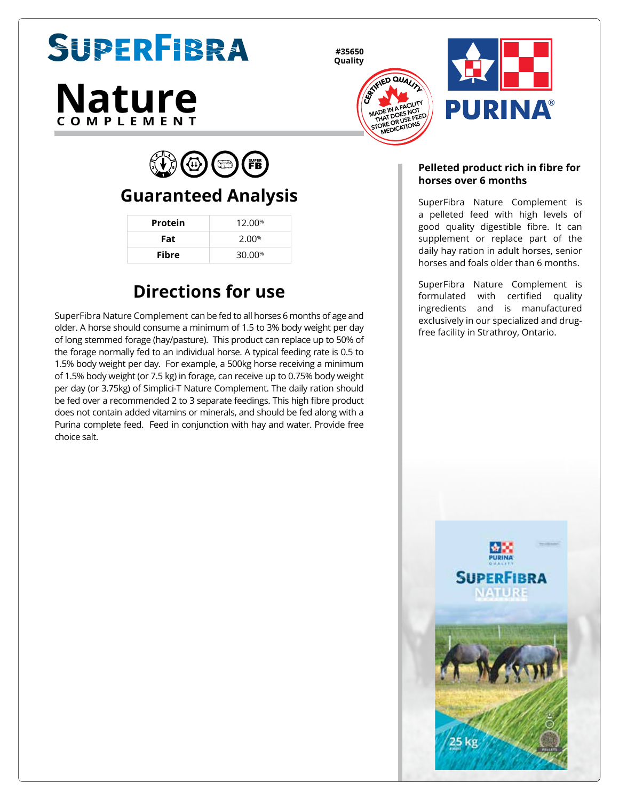# SUPERFIBRA

# **Nature COMPLEMENT**

**#35650 Quality**





 $(\Box)$  (FB)  $\langle \psi \rangle$ 

## **Guaranteed Analysis**

| Protein      | 12.00%             |
|--------------|--------------------|
| Fat          | 2.00%              |
| <b>Fibre</b> | 30.00 <sup>%</sup> |

# **Directions for use**

SuperFibra Nature Complement can be fed to all horses 6 months of age and older. A horse should consume a minimum of 1.5 to 3% body weight per day of long stemmed forage (hay/pasture). This product can replace up to 50% of the forage normally fed to an individual horse. A typical feeding rate is 0.5 to 1.5% body weight per day. For example, a 500kg horse receiving a minimum of 1.5% body weight (or 7.5 kg) in forage, can receive up to 0.75% body weight per day (or 3.75kg) of Simplici-T Nature Complement. The daily ration should be fed over a recommended 2 to 3 separate feedings. This high fibre product does not contain added vitamins or minerals, and should be fed along with a Purina complete feed. Feed in conjunction with hay and water. Provide free choice salt.

#### **Pelleted product rich in fibre for horses over 6 months**

SuperFibra Nature Complement is a pelleted feed with high levels of good quality digestible fibre. It can supplement or replace part of the daily hay ration in adult horses, senior horses and foals older than 6 months.

SuperFibra Nature Complement is formulated with certified quality ingredients and is manufactured exclusively in our specialized and drugfree facility in Strathroy, Ontario.